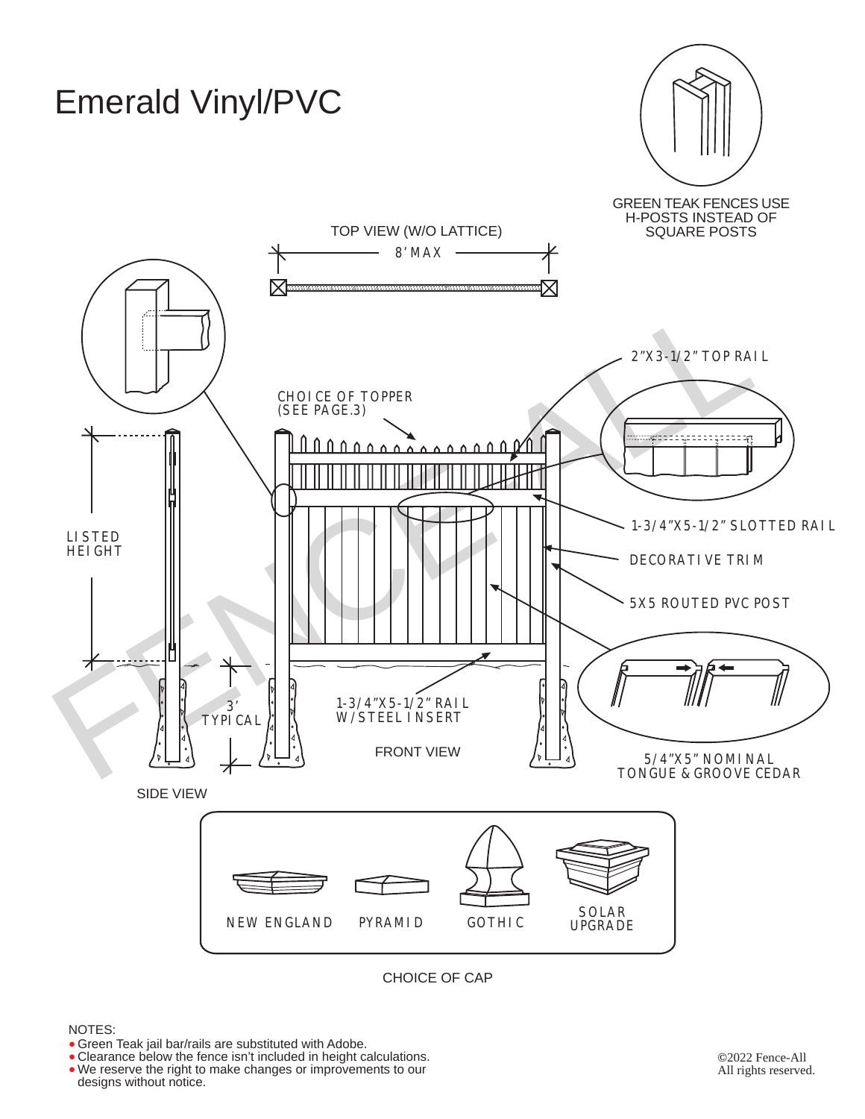

## CHOICE OF CAP

### NOTES:

- Green Teak jail bar/rails are substituted with Adobe.
- Green Teak jail bar/rails are substituted with Adobe.<br>• Clearance below the fence isn't included in height calculations. • We reserve the right to make changes or improvements to our designs without notice.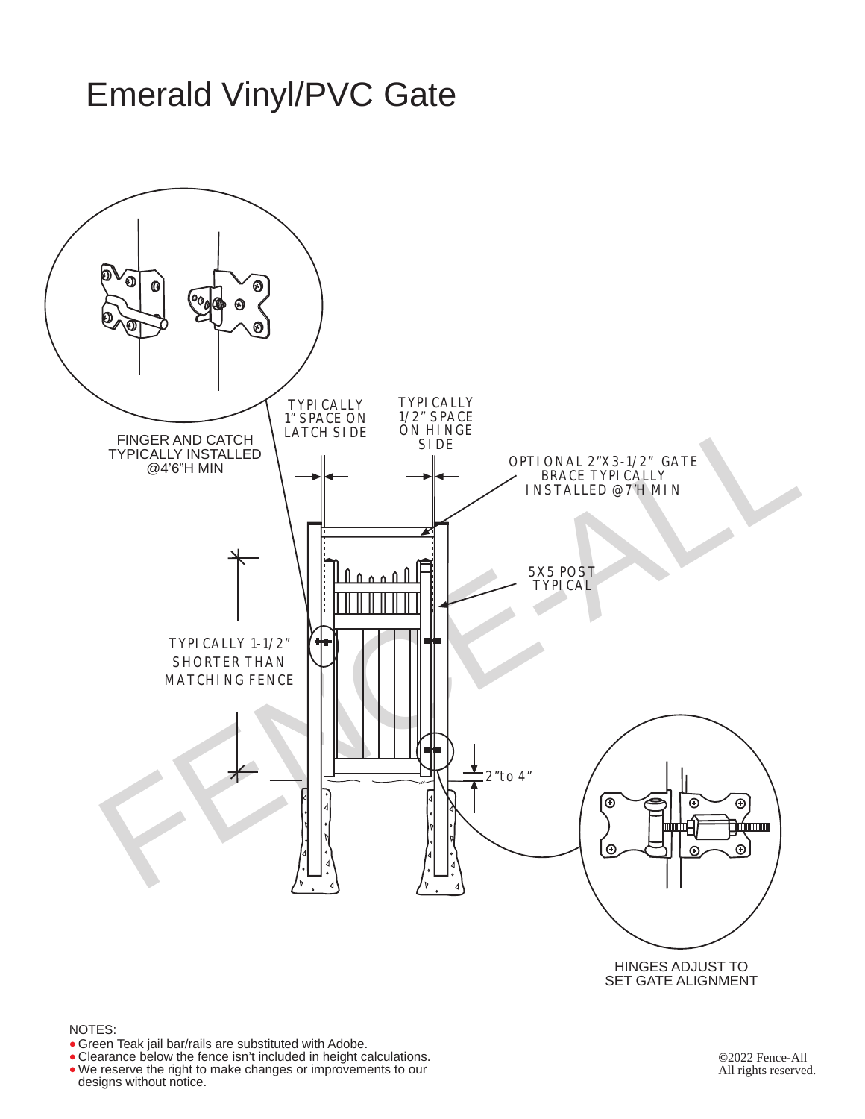# Emerald Vinyl/PVC Gate



## NOTES:

- Green Teak jail bar/rails are substituted with Adobe.
- Clearance below the fence isn't included in height calculations. • Green Teak jail bar/rails are substituted with Adobe.<br>• Clearance below the fence isn't included in height calculations<br>• We reserve the right to make changes or improvements to our •

**©**2022 Fence-All All rights reserved.

designs without notice.